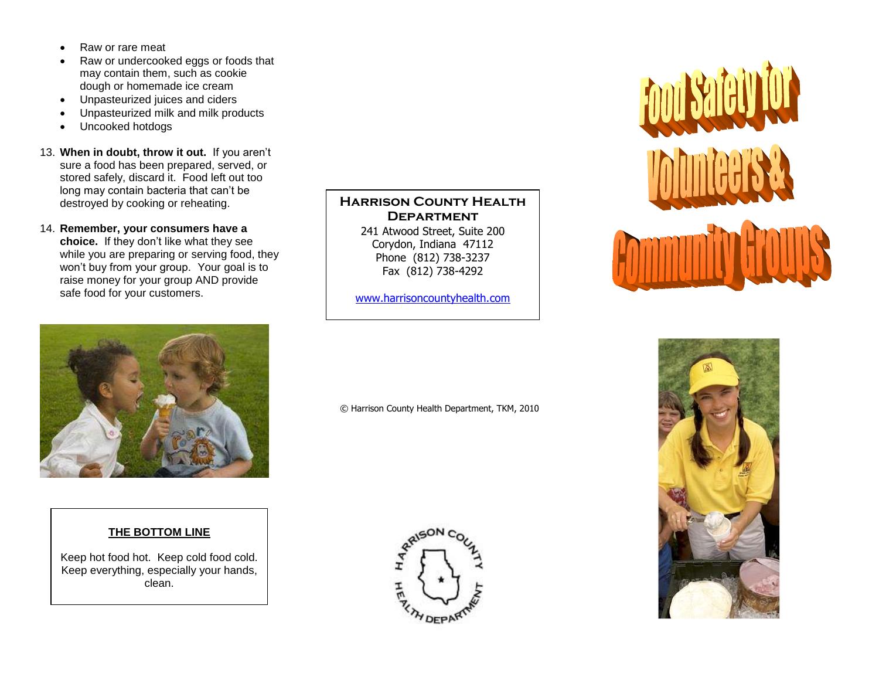- Raw or rare meat
- Raw or undercooked eggs or foods that may contain them, such as cookie dough or homemade ice cream
- Unpasteurized juices and ciders
- Unpasteurized milk and milk products
- Uncooked hotdogs
- 13. **When in doubt, throw it out.** If you aren't sure a food has been prepared, served, or stored safely, discard it. Food left out too long may contain bacteria that can't be destroyed by cooking or reheating.
- 14. **Remember, your consumers have a choice.** If they don't like what they see while you are preparing or serving food, they won't buy from your group. Your goal is to raise money for your group AND provide safe food for your customers.



#### **THE BOTTOM LINE**

Keep hot food hot. Keep cold food cold. Keep everything, especially your hands, clean.

**HARRISON COUNTY HEALTH Department** 241 Atwood Street, Suite 200 Corydon, Indiana 47112 Phone (812) 738-3237

Fax (812) 738-4292 [www.harrisoncountyhealth.com](http://www.harrisoncountyhealth.com/)

© Harrison County Health Department, TKM, 2010